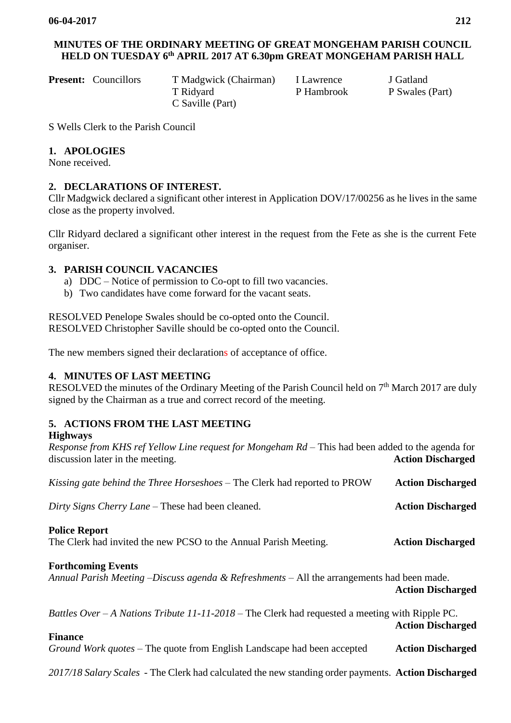# **MINUTES OF THE ORDINARY MEETING OF GREAT MONGEHAM PARISH COUNCIL HELD ON TUESDAY 6 th APRIL 2017 AT 6.30pm GREAT MONGEHAM PARISH HALL**

| <b>Present:</b> Councillors | T Madgwick (Chairm |
|-----------------------------|--------------------|
|                             | T Ridyard          |
|                             | C Saville (Part)   |

**Present:** Present: T Gatland

P Hambrook P Swales (Part)

S Wells Clerk to the Parish Council

## **1. APOLOGIES**

None received.

# **2. DECLARATIONS OF INTEREST.**

Cllr Madgwick declared a significant other interest in Application DOV/17/00256 as he lives in the same close as the property involved.

Cllr Ridyard declared a significant other interest in the request from the Fete as she is the current Fete organiser.

## **3. PARISH COUNCIL VACANCIES**

- a) DDC Notice of permission to Co-opt to fill two vacancies.
- b) Two candidates have come forward for the vacant seats.

RESOLVED Penelope Swales should be co-opted onto the Council. RESOLVED Christopher Saville should be co-opted onto the Council.

The new members signed their declarations of acceptance of office.

### **4. MINUTES OF LAST MEETING**

RESOLVED the minutes of the Ordinary Meeting of the Parish Council held on  $7<sup>th</sup>$  March 2017 are duly signed by the Chairman as a true and correct record of the meeting.

# **5. ACTIONS FROM THE LAST MEETING**

#### **Highways**

*Response from KHS ref Yellow Line request for Mongeham Rd –* This had been added to the agenda for discussion later in the meeting. **Action Discharged**

*Kissing gate behind the Three Horseshoes* – The Clerk had reported to PROW **Action Discharged**

*Dirty Signs Cherry Lane* – These had been cleaned. **Action Discharged** 

### **Police Report**

The Clerk had invited the new PCSO to the Annual Parish Meeting. **Action Discharged**

### **Forthcoming Events**

*Annual Parish Meeting –Discuss agenda & Refreshments* – All the arrangements had been made. **Action Discharged**

#### *Battles Over – A Nations Tribute 11-11-2018 –* The Clerk had requested a meeting with Ripple PC. **Action Discharged**

### **Finance**

*Ground Work quotes –* The quote from English Landscape had been accepted **Action Discharged**

*2017/18 Salary Scales -* The Clerk had calculated the new standing order payments. **Action Discharged**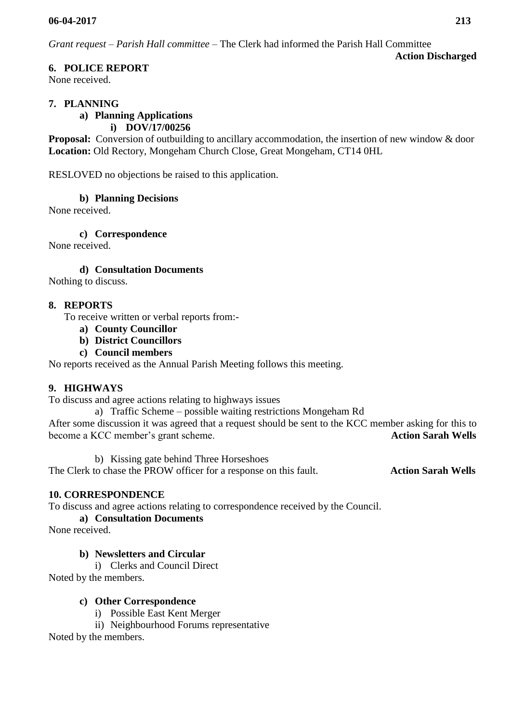*Grant request – Parish Hall committee –* The Clerk had informed the Parish Hall Committee

# **6. POLICE REPORT**

None received.

## **7. PLANNING**

#### **a) Planning Applications i) [DOV/17/00256](https://planning.dover.gov.uk/online-applications/applicationDetails.do?activeTab=documents&keyVal=DCAPR_231616)**

**Proposal:** Conversion of outbuilding to ancillary accommodation, the insertion of new window & door **Location:** Old Rectory, Mongeham Church Close, Great Mongeham, CT14 0HL

RESLOVED no objections be raised to this application.

## **b) Planning Decisions**

None received.

**c) Correspondence**

None received.

**d) Consultation Documents** 

Nothing to discuss.

### **8. REPORTS**

To receive written or verbal reports from:-

- **a) County Councillor**
- **b) District Councillors**
- **c) Council members**

No reports received as the Annual Parish Meeting follows this meeting.

# **9. HIGHWAYS**

To discuss and agree actions relating to highways issues

a) Traffic Scheme – possible waiting restrictions Mongeham Rd

After some discussion it was agreed that a request should be sent to the KCC member asking for this to become a KCC member's grant scheme. **Action Sarah Wells**

b) Kissing gate behind Three Horseshoes

The Clerk to chase the PROW officer for a response on this fault. **Action Sarah Wells**

# **10. CORRESPONDENCE**

To discuss and agree actions relating to correspondence received by the Council.

**a) Consultation Documents**

None received.

### **b) Newsletters and Circular**

i) Clerks and Council Direct

Noted by the members.

### **c) Other Correspondence**

i) Possible East Kent Merger

ii) Neighbourhood Forums representative

Noted by the members.

**Action Discharged**